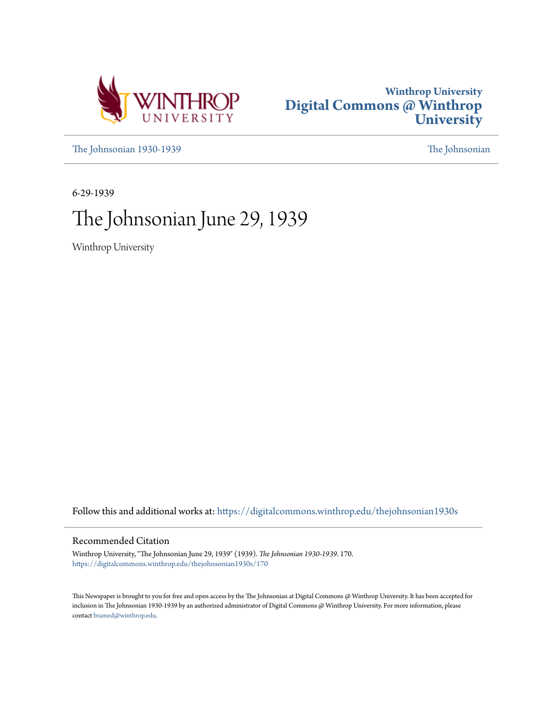



[The Johnsonian 1930-1939](https://digitalcommons.winthrop.edu/thejohnsonian1930s?utm_source=digitalcommons.winthrop.edu%2Fthejohnsonian1930s%2F170&utm_medium=PDF&utm_campaign=PDFCoverPages) [The Johnsonian](https://digitalcommons.winthrop.edu/thejohnsonian_newspaper?utm_source=digitalcommons.winthrop.edu%2Fthejohnsonian1930s%2F170&utm_medium=PDF&utm_campaign=PDFCoverPages)

6-29-1939

# The Johnsonian June 29, 1939

Winthrop University

Follow this and additional works at: [https://digitalcommons.winthrop.edu/thejohnsonian1930s](https://digitalcommons.winthrop.edu/thejohnsonian1930s?utm_source=digitalcommons.winthrop.edu%2Fthejohnsonian1930s%2F170&utm_medium=PDF&utm_campaign=PDFCoverPages)

#### Recommended Citation

Winthrop University, "The Johnsonian June 29, 1939" (1939). *The Johnsonian 1930-1939*. 170. [https://digitalcommons.winthrop.edu/thejohnsonian1930s/170](https://digitalcommons.winthrop.edu/thejohnsonian1930s/170?utm_source=digitalcommons.winthrop.edu%2Fthejohnsonian1930s%2F170&utm_medium=PDF&utm_campaign=PDFCoverPages)

This Newspaper is brought to you for free and open access by the The Johnsonian at Digital Commons @ Winthrop University. It has been accepted for inclusion in The Johnsonian 1930-1939 by an authorized administrator of Digital Commons @ Winthrop University. For more information, please contact [bramed@winthrop.edu](mailto:bramed@winthrop.edu).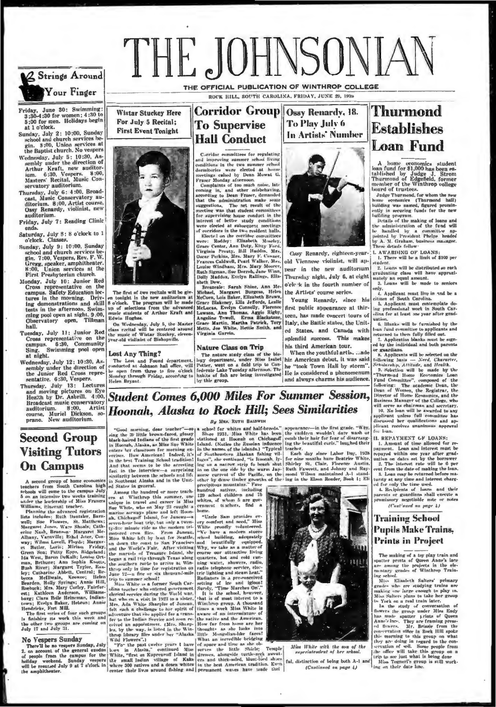

June 30: Swimming: Friday, June 30: Swimming:<br>3:30-4:30 for women; 4:30 to<br>5:00 for men. Holidays begin at 1 o'clock.

Sunday, July 2: 10:00, Sunday<br>school and church services be-<br>gin. 8:00, Union services at<br>the Baptist church. No vespers

- the baptist church. Two weapers<br>Wednesday, July 5 : 10:30, As-<br>sembly under the direction of<br>Arthur Kraft, new auditor-<br>im. 6:30, Vespers. 8:00,<br>Masters' Recital, Music Conservatory auditorium.
- Survatory automorphin, 100, Broad-<br>cast, Music Conservatory au-<br>ditorium. 8:00, Artist course,<br>Ossy Renardy, violinist, new<br>auditorium.

Friday, July 7: Reading Clinic enda

Saturday, July 8: 8 o'clock to 1<br>o'clock. Classes.

- Sunday, July 9: 10:00, Sunday<br>school and church services be-<br>gin. 7:00, Veapers, Rev. F. W. Gregg, speaker, amphitheater.<br>8:00, Union services at the First Presbyteriun church.
- First Preshyterium church.<br>Morday, July 10: Junior Red<br>Cross representative on the<br>campus. Safety Education lec-<br>tures in the morning. Driv-<br>ing demonstrations and skill<br>tests in the afternoon. Swim-<br>mig pool open at night puoi oj<br>Observatory<br>hall.
- Tuesday, July 11: Junior Red Cross representative on the<br>campus. 6:30, Community<br>Sing. Swimming pool open Sing. S<br>at night.

Wednesday, July 12: 10:30, Asednesday, July 12: 10:30, Facebook and Sembly under the direction of<br>the Junior Red Cross representative. 6:30, Vespers.

sentative. 0:30, vespers.<br>Thursday, July 13: Lectures<br>and moving pictures on Eye.<br>Health by Dr. Asbrill. 4:00,<br>Broadcast music conservatory<br>auditorium. 8:00. Artist<br>course, Muriel Dickson, so-<br>prano. New auditorium.

#### **Second Group Visiting Tutors On Campus**

**111. Contained the control of the set in the literation of the set in the set in the set in the set in the set in the set in the set in the set in the set in the set of the set in the set in the set in the set of the set** 

# THE JOHNSONIAN THE OFFICIAL PUBLICATION OF WINTHROP COLLEGE

ROCK HILL, SOUTH CAROLINA, FRIDAY, JUNE 29, 1939

#### **Corridor Group To Supervise Hall Conduct**

Carridor committees for regulating<br>and improving summer school living<br>conditions in the two numer school living<br>dominicaries were elected at house<br>meetings called by Dean Mowat G.<br>Fraser Monday afternoon.<br>Complaints of too

interest of better study conditions, we<br>rest of the study conditions, we were elected at subsequent mething<br>if corridors in the two rested in late. We<br>rect lookey. Elizabeth Moseley, Weren Ferther, Ann Doty, Kitty Ford, Ci abeth Dew.

abeth Dew.<br>
Breazele: Sarah Shine, Am Mc-<br>
Birchael, Margaret Burgess, Helen<br>
McCuen, Lois Baker, Elizabeth Brown,<br>
McCuen, Lois Baker, Elizabeth Brown,<br>
Crace Blakeney, Eliza Jeffords, Leslie<br>
McLucas, Evelyn Connelly, Fl The first of two recitals will be given<br>on touight in the new auditorium at<br>8 o'clock. The program will be made<br>up of selections from the advanced<br>music students of Arthur Kraft and

#### **Nature Class on Trip**

The nature states out LTIP and the state of the bin-<br>
The nature state logy depends of the bin-<br>
logy department, under Sites Isabel his American debut, it was said<br>
Potter, went on a field trip to Con-<br>
[he "took Town Ha The Lost and Found department.<br>
The Lost and Found department.<br>
e open from three to five o'clock<br>
Londay through Friday, according to



Ossy Renardy, 18.



Thurmond

A home economics student<br>loan fund for \$1,000 has been relablished by Judge J. Strom<br>Thurmond of Edgefield, former<br>member of the Winthrop college J. Strom<br>member of the Winthrop college<br>bourd of transcending was anned, fo

**L AWARDING OF LOANS:** There will be a limit of \$100 per

udent.<br>2. Loans will be distributed so each graduating class will have approxi-

mately an equal amount.<br>3. Loans will be made to seniors

and the means we have the same of South and the simulation of South Carolina.<br>
S. Applicant must contemplate do-<br>
ing professional work in South Carolina.<br>
S. Applicant must contemplate do-<br>
dinn for al least one year afte

ation.<br>6. Blanks will be furnished by th loan fund committee to applicants and<br>returned to them fully filled out.

Four runs consinues to approach and real periodic relationships and the distance of the particle of the periodic of the periodic of the following basis  $\sim$  Need to the Schedule S. Septies and Schedule S. Septies in the s

plicant receives unanimous appi

**IL REPAYMENT OF LOANS:** 

II. REPAYMENT CF LOANS:<br>
1. Annual of time allowed for re-<br>
nayment. Loan and interest must be<br>
repayed within one year after grad-<br>
naying out this one was a first product must<br>
2. The interest rate will be 0 per interes

(Continued on page 4)

#### **Training School Pupils Make Trains, Prints in Project**

The making of a toy play train and<br>spatter prints of Queen Anne's lace<br>new among the projects in the ele-<br>mentary grades of Winthrop Train-<br>ing school.<br>His Elizabeth Salters' primary grades who are attaight trains are<br>mak convertation since in Kost Hill appace<br>this merring to this group on what<br>they are doing in regard to the con-<br>servation of well. Some prople from<br>the office will take this group on a<br>trip to see just what is being done<br>th

## **Student Comes 6,000 Miles For Summer Session,** Hoonah, Alaska to Rock Hill; Sees Similarities

#### By MRS. RUTH BALDWIN

Edwin Hughes.

Helen Bryant

Lost Any Thing?

On Wednesday, July 5, the Master<br>claas recital will be centered around<br>the music of Wistar Stuckey, cleven-<br>year-old viulinist of Bishopville.

**Wistar Stuckey Here** For July 5 Recital;

**First Event Tonight** 

By Mus. RUTH BALDWIN<br>
IBMD-WERT PROPARTION IN THE SET AS A SINCE IN A SURFACE OF WHITE AND ASSEMBLE TO THE SET AND THE SET AND THE SET AND THE SET AND THE SET AND THE SET AND THE SET AND THE SET AND THE SET AND THE SET AN



Miss White with the son of the dent of her seh superinten

ful, distinction of being both A-1 and (Continued on page 4)



old Viennese violinist, will appear in the new auditorium Thursday night, July 6, at eight o'cle k in the fourth number of the Artists' course series.

Young Renardy, since his first public appearance at thirteen, has made concert tours of Italy, the Battic states, the United States, and Canada with splendid success. This makes his third American tour.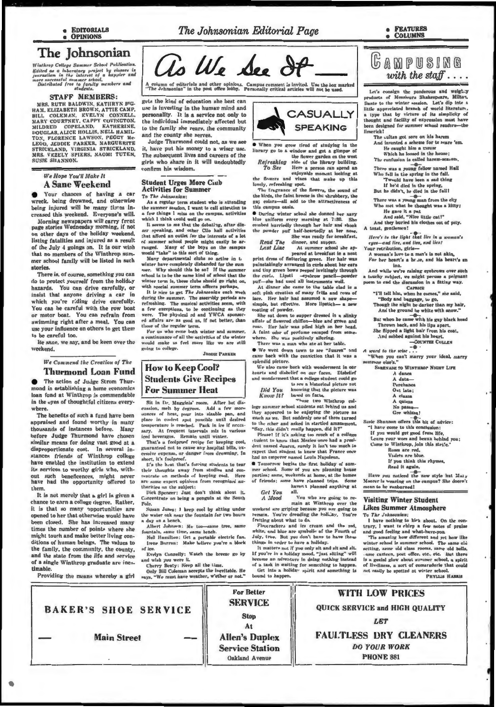The Johnsonian Editorial Page

**FRATURES COLUMNS** 

## The Johnsonian

 $\label{thm:main} We introduce the following theorem, we have a finite case of the first case, it is is necessary to consider a set of the first case, it is is necessary to have a more successful answer of a key. Discribed free (gactly) members and the first object is not always not. This is not possible for a regular case.$ 

#### **STAFF MEMBERS:**

MRS. RUTH BALDWIN, KATHRYN BIG. HAM, ELIZABETH BROWN, ATTIE CAMP,<br>BILL COLEMAN, EVELYN CONNELL,<br>MARY COURTNEY, CAPPY COVINGTON,<br>MILDED, CORNEY, CAPPY COUNCING MILDRED COPELAND, KATHERINE, DOUGLAS, ALICE HOLLIS, NELL HAMILTON, FLORENCE LAWSON, PEGGY Me-LEOD, JEDDIE PARKER, MARGUERITE<br>STRICKLAND, VIRGINIA STRICKLAND,<br>MRS. VEZELY SPIERS, NAOMI TUTEN, **SUSIE SHANNON** 

#### We Hope You'll Make It **A Sane Weekend**

Your chances of having a car wreck, being drowned, and otherwise being injured will be many times increased this weekend. Everyone's will.

Morning newspapers will carry frent<br>page stories Wednesday morning, if not on other days of the holiday weekend, listing fatalities and injured as a result of the July 4 goings on. It is our wish<br>that no members of the Winthrop summer school family will be listed in such stories.

There is, of course, something you can do to protect yourself from the holiday hazards. You can drive carefully, or insist that anyone driving a car in which you're riding drive carefully. You can be careful with the row boat or motor boat. You can refrain from swimming right after a meal. You can use your influence on others to get them to be careful too.

Be sane, we say, and be keen over the weekend.

> We Commend the Creation of The **Thurmond Loan Fund**

The action of Judge Strom Thurmond in establishing a home economics loan fund at Winthrop is commendable in the even of thoughtful citizens everywhere.

The benefits of such a fund have been appraised and found worthy in many thousands of instances before. Many before Judge Thurmond have chosen similar means for doing vast good at a disproportionate cost. In several in-<br>stances friends of Winthrop college have enabled the institution to extend its services to worthy girls who, without such beneficences, might never<br>have had the opportunity offered to them

It is not merely that a girl is given a chance to earn a college degree. Rather, it is that so many opportunities are opened to her that otherwise would have been closed. She has increased many times the number of points where she might touch and make better living conditions of human beings. The values to the family, the community, the county, and the state from the life and service and the state trom the life and service<br>  $\Delta t$  as single Winthrop graduate are inest<br>  $\Delta t$  as single Winthrop graduate are inest<br>  $\Delta t$  as single Winthrop graduate are inest<br>  $\Delta t$  as single weather, we must have weather of a single Winthrop graduate are inestimable

**BAKER'S SHOE SERVICE** 

**Main Street** 



A column of editorials and other opinions. Campus comment is invited. Use the box marked<br>"The Jehnsonian" in the post office lobby. Personally critical articles will not be used.

gets the kind of education she best can use is investing in the human mind and personality. It is a service not only to the individual immediately affected but to the family she rears, the community and the county she serves.

Judge Thurmond could not, as we see it, have put his money to a wiser use. The subsequent lives and careers of the girls who share in it will undoubtedly confirm his wisdom.

#### **Student Urges More Ciub Activities for Summer**

To The Johnsonian: As a regular term student who is attending

the summer seadon, I want to call attention to a few things 1 miss on the campus, activities which I think could well go on.<br>It seems to me that the debating, after dinner speaking, and other Clio hall activities that afford an outlet for the interests of a lot

that anores are out to the boys on the campus<br>of summer school people might easily be arranged. Many of the boys on the campus<br>would "take" to this sort of thing.<br>Many departmental clubs so active in the winter have comple

school is to be the same kind of school that the ster term is, these clubs should go right on, with special summer term officers perhaps.

each nice to get The Johnsonian during the summer. The assembly periods are or refreshing. The musical activities seem, with<br>a few execptions, to be continuing as they<br>were. The physical ed and YWCA sponsored affairs are as good as, if not better, than e of the regular term.

For us who come both winter and summer, n continuance of all the activities of the winter<br>would make us feel more like we are still going to college.

**JEDDIE PARKER** 

#### **How to Keep Cool? Students Give Recipes For Summer Heat**

 $\begin{tabular}{lcccccc} \bf 8it in Dr. Marglini' room. After hot discussion, melt by degree. Add u few more-  
uuslon, melt by degree. Add u few more-  
uane or of heat, pour into stable panil desland  
place in coolest spot possible until desired  
temperature is reached. Park in ice if neccs-  
temperature is reached. Park in ice if neccs$ sary. At frequent intervals mix in various leed beverages. Remain until winter.

That's a foolprunf recipe for keeping cool, guaranteed not to cause any hospital bills, ex-<br>cessive expense, or danger from drowning. In short, it's foolnroof.

It's the heat that's foreing students to tear their thoughts away from studies and con-<br>centrate on methods of keeping cool. Here<br>are same expert opinious from recognized authorities on the subject:

Dick Spencer: Just don't think about it.<br>Concentrate on being a penguin at the South Pole

Susan Jones: I keep cool by sitting a the water oak near the fountain for two hours day on a bench.<br>Albert Johnsen: Me too

untain, aame time, same bench.

f.

Nell Hamilton: Get a portable electric fan.<br>Irete Burron: Make believe you're a block of les

Evelyn Connelly: Watch the breeze go by



When you grow tired of studying in the per of literary go to a window and got a gli the flower garden on the west

Refreshing side of the library building.<br>To See Here a person can spend an enjoyable monomat looking at

the flowers and vines that make up this lovely, refreshing spot.<br>Thy tragrance of the flowers, the sound of

the hirds, the faint breeze in the shrubbery, the<br>gay colars-all add to the attractiveness of this campus casis.

**O** During winter school she donned her navy blue uniform every morning at 7:30. She<br>coubed hurriedly through her heir and shook<br>the powder puff half-heartedly at her nose.<br>She was ready for breakfast,

**Read The** Last Line

dinner, and supper.<br>At summer school she ap-<br>peared at breakfast in a neat print dreas of flattering green. Her hair was<br>paintakingly arranged in curls about her ears<br>and tiny green bows peepel invitingly through the earst<br>and tiny green bows peepel invitingly through<br>the curl. Lipsti --eyebrow p

At dinner she came to the table clad in a oft pinh creation of many frilis and rows of<br>ace. Her hair had assumed a new shapelace. simple, but effective. More lipstich- a<br>coating of powder.

She sat down to supper dressed in a slinky<br>uffair of flowered chiffon—blue and green and<br>rose. Her hair was piled high on her head. A faint odor of perfume escaped from some where. She was positively alluring.

There was a man who ate at her table . We went down town to see "Juares" and

came back with the conviction that it was a splendid picture. We also came back with wonderment in our

hearts and disbelief on our faces. Disbelief<br>and wonderment that a college student could go to see a historical picture not<br>knowing that the picture was

**Did You**<br>Know *It?* based on facts.

lege summer school students at behind us and they appeared to be enjoying the picture as much as we. But suddenly one of them turned to the other and asked in startled amazement, "Say, this didn't really happen, did it?"<br>Pleuse! If it's asking too much of a college

tudent to know that Mexico once had a presi-<br>dent named Juarez, surely it isn't too much to expect that student to know that France once had an emperor named Louis Napoleon.

**C** Temorrow begins the first holiday of summer school. Some of you are planning house of friends; some have planned trips. **Kome** haven't planned anything at

**Get You**  $m11$ . A Mood

**For Better** 

**SERVICE** 

**Stop** 

At

**Allen's Duplex** 

**Service Station** 

Oakland Avenue

You who are going to re-<br>main at Winthrop over the weekend are griping because you are going to<br>remain. You're dreading the bolklay. You're

fretting about what to do.

Fire rackers and ice cream and the red,<br>white, and blue are symbolic of the Fourth of<br>July, true. But you don't bave to have those tings in order to have a holiday.<br>It matters not if you only sit and sit and sit.

If you're in a holiday mood, "just sitting" will<br>become an adventure in doing nothing instead of a task in waiting for something to happen.

Get into a holiday spirit and a mathis bound to happen.



Let's consign the panderous and weigh.y Let a consum the punctures and weight of Miker,<br>Dante to the winter sension. Let's dip into a little appreciated branch of world Heratury, a type that by virture of its simplicity of<br>thought and facility of expression must have mer school rende been designed for sum  $h$ Hmerlek?

The cultur got sore on his harem And invented a scheme for to scare 'em-He caught him a mouse

Which he loosed in the house;<br>The confusion is called harem-searem.

There was a young fellow named Hall

Who fell in the spring in the fall.<br>Twould have been a sad thing<br>If he'd died in the spring,

But he didn't, he died in the fall!<br>There was a young man from the city<br>Who not what he thought was a kitty; He gave it a pat<br>And said, "Nice little cat!"

And they buried his clothes out of pity. A toast, gentlemen!

Here's to the light that lies in a woman's eyes-and lies, and lies, and lies!

Your retribution, girls---<br>A woman's low to a man's is not akin,

For her heart's a he se, and his heart's an inn.

And while we're raising eyebrows over such<br>a touchy subject, we might peruse a poignant<br>poem to end the discussion in a fitting way. **CAPRICE** 

"I'll tell him, when he comes," she said,

"Body and baggage, w go,<br>Though the night be darker than my hair,<br>And the ground be white with anow."

But when he came with his gay black head

Thrown back, and his lips apart.<br>She flipped a light bair from his coat.<br>And sobbed against his heart.

 $-$ COUNTER CULLEN

A word to the wise.

"When you can't marry your ideal, marry

**SERRNADE TO WINTHROP NIGHT LIFE** 

 $A$  danca<br> $A$  data-Perchance Out late:

A classe

quizza

No passa

Gre whizza!

Susie Shannon offers this bit of advice:

"I have come to this conclusion:<br>If you would get good from life,

Leave your woes and beaux behind you;<br>Come to Winthrop, join this strife."

Ruses are red,<br>Violets are blue.<br>If you think this rhymes,

Read it again,

Have you noticed the new style hat Mary Moorer is wearing on the campus? She doesn<br>mean to be sunburned!

#### **Visiting Winter Student Likes Summer Atmosphere**

To The Johnsonian:<br>I have nothing to kick about. On the con-

**WITH LOW PRICES** 

QUICK SERVICE and HIGH QUALITY

LET

**FAULTLESS DRY CLEANERS** 

**DO YOUR WORK** 

**PHONE 881** 

trary, I want to chirp a few notes of praise<br>and good feeling and what-have-you.

The amazing how different and yet how like<br>winter school is summer school. The same clis<br>aetting, same old class rooms, same old bells, .ame canteen, post office, etc., etc. But there is a genial glow about summer school, a spirit of liv-liness, a nort of comaraderie that could not easily be spotted at winter scho PHYLLis HARRIS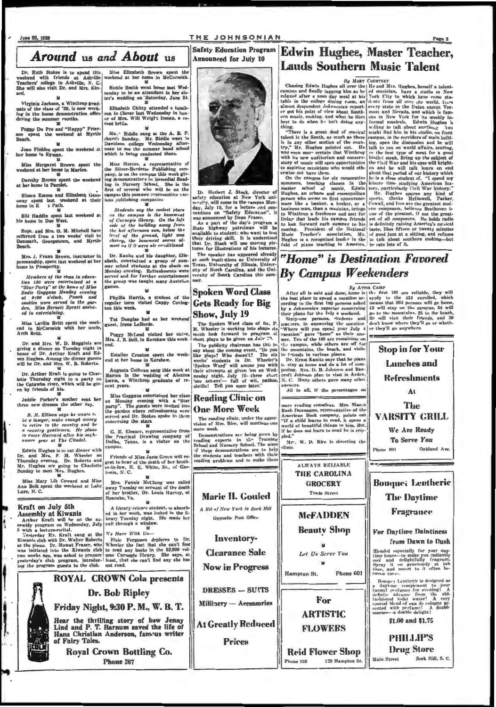#### THE JOHNSONIAN **Safety Education Program**

**Announced for July 10** 

# Around us and About us

Dr. Ruth Stokes is to spend this, weekend with friends at Ashville Teachers' college in Ashville, N. C. She will also visit Dr. and Mrs. Kin-

Virginia Jackson, a Winthrep graduate of the class of '39, is now working in the home demonstration office during the summer rooths.

Foggy Du Pre and "Happy" Frier-<br>on spent the weekend at Myrtle<br>Seach.

 $\boldsymbol{w}$ Joan Finklea apent the weekend at<br>her home in Hyman.  $\overline{\mathbf{u}}$ 

Miss Margaret Brown spen<br>cekend at her home in Marion.

Dorothy Brown spent the week<br>at her home in Pacolet. Ŧ

Misses Emma and Elizabeth Gass-<br>owny spent last weekend at their<br>home in E x Path.

Bill Haddin spent last weekend at his home in Due West.

Supt. and Mrs. O. M. Mitchell have<br>refurned from a two weeks' visit to<br>Denmark, Georgetown, and Myrtle

Mrs. J. Frank Brown, instructor in<br>penmanship, spent last weekend at her<br>home in Prosperity.

m

Miss Lavilla Britt spent the week-<br>end in McCormick with her uncle,<br>Arch Britt.

M. Dr. and Mrs. W. D. Magginis are<br>giving a dinner on Tuesday night in<br>honor of Dr. Arthur Kraft and Ed-<br>win Hughes. Among the dinner guests<br>will be Dr. and Mrs. W. B. Roberts. 复

Dr. Arthur Kraft is going to Charbute Thursday night to a party on<br>the Catawha river, which will be giv-<br>en by friends of his.<br> $\frac{100}{100}$ 

Jeddie Parker's mother sent he three new dresses the other day.  $\mathbf{u}$ 

B. M. Ellison says he scants to<br>be a lasoyer, make enough morey and be<br>to retire to the construy and be<br>a country gentlement, He plans<br>to enter Harrard after his sox-<br>omore year at The Citadel.

Edwin Hughes is to eat dinner with<br>Dr. and Mrs. P. M. Wheeler on<br>Thursday evening. Dr. Roberts and<br>Mr. Hughes are going to Charlotte<br>Sunday to meet Mrs. Hughes.

Miss Mary Lib Coward and Miss<br>Ann Belk spent the weekend at Lake<br>Lure, N. C.

#### Kraft on July 5th

**Assembly at Kiwanis** 

Assembly at Kiwanis ed in her work, was locked in the li-<br>Arthur Kraft will be on the as- brary Tuesday hight. She made her<br>sembly program on Wednesday, July exit through a window.<br>So with a lecture-rectical. The semi-sem

Miss Elizabeth Brown spent the<br>celend at her home in McCormick Hettie Smith went home tast Wednesday to be an attendant in her sister's wedding on 'Saturday, June 24.

22<br>
Elizabeth Chity attended a lunch-<br>
con in Clover last Wednesday in hon-<br>
or of Mrs. Will Wright Inman, a re-<br>
cent bride.

 $\mathbf{y}$ 

Ma. "Biddle sang at the A. B. P.<br>church Sunday. Mr. Biddle went to<br>Davidson college Wednesday after-<br>noon to see the summer band school<br>which is being conducted there.

Miss Horton, a representative of<br>the Silver-Burdette Publishing com-<br>pany, is on the campus this week given<br>ing demonstrations in Kemedial Read-<br>ling in Nursery School. She is the<br>fart of several who will be on the<br>campus

 $\label{eq:1} Since the  
system is the closed place  
on the example is the based  
of Carregiel library. On the left,  
side of the building away from  
the hot afternoon run, below the  
level of the ground, light and  
cherey, the beament seems ad-  
mont as if it were a conditional  
most as if it were$ 

Dr. Kanitz and his daughter, Elizpr. annua ann ua uagnach a group of sum-<br>mer school students at the shack on<br>Monday evening. Refreshments were<br>served and for further entertainment<br>the group was taught many Austrian gam

Phyllis Harris, a student of the<br>regular term visited Cappy Coving-<br>ton this week. 單

Tut Douglas had as her weeke<br>guest, Irene LaBorde.

Peggy Mel.cod visited her sixter Mrs. J.

¥ Estaline Croxton spent the week-<br>nd at her home in Kershaw. Ë

Augusta Cothran sang this week at<br>Marion in the wedding of Alexina<br>Lavis, a Winthrop graduate of recent years.

Miss Goggans entertained her class<br>on Monday evening with a "Star<br>party". The guests were invited into<br>the garden where refreshments were<br>screed and Dr. Stokes spoke to them<br>concerning the stars Ŧ

G. M. Eleazer, representative from<br>the Practical Drawing company of<br>Dallas, Texas, is a visitor on the ampus.

Friends of Miss Janie Green will regret to hear of the death of her brother-in-law, H. E. White, Sr., of Gastonia, N. C.

Mrs. Fannie McClung was called<br>away Tuesday on account of the death<br>of her brother, Dr. Louis Harvey, of<br>Roanske, Va.  $\boldsymbol{u}$ 

A library science student, so a ed in her work, was locked in the library Tuesday night. She made her exit through a window.

## **ROYAL CROWN Cola presents Dr. Bob Ripley** Friday Night, 9:30 P. M., W. B. T. Hear the thrilling story of how Jenny

Lind and P. T. Barnum saved the life of<br>Hans Christian Anderson, fam.us writer of Fairy Tales.

**Royal Crown Bottling Co.** Phone 267

Di Herbert J. Stack, director of  $n$  fol  $v$ 

safety education at New York unit.<br>
safety education at New York unit, why induced the campus Mon-<br>
day, July 10, for a lecture and conventions on "Safety Education", it<br>
was announced by Dean Francr.<br>
State highway patro

The speaker has appeared already<br>at auch institutions as University of<br>Texas, University of Illinois, University<br>sity of North Carolina, and the University of South Carolina this sum-

### **Reading Clinic on**

**One More Week** The reading clinic, under the super-<br>vision of Mrs. Rice, will continue one

more week.<br>Demonstrations as c being gaven by reading experts in the Training<br>School and Nursery School. The aims.<br>of these demonstrations are to help<br>the students and teachers with their<br>reading problems and to make them



# **LAUGES SOUTHET IVILISIC I AIGHE SET INTEREST IN A STRAIGHT IS CREATED CONSIDER THE CONSIDER IN THE STATE CAN ARREST AND THE CAN ARREST AND THE CAN ARREST AND THE CAN ARREST AND THE CAN ARREST AND THE CAN ARREST AND THE C** "Home" is Destination Favored

**Edwin Hughes, Master Teacher,** 

**Lauds Southern Music Talent** 

**POKEN Word Class After all is add and done, however is that it and the set of the set of the set of the set of the set of the set of the set of the set of the set of the set of the set of the set of the set of the set of** 

more reading connelous. Mrs. Mac.n<br>Rush Dunnagon, representative of the American Book company, points out<br> $\frac{1}{16}$  a child learns to read, it opens a world of beautiful the<br>parameter of the state of the state of the sta Mr. W. D. Rice is directing the

elinie

ALWAYS RELIABLE THE CAROLINA

> **GROCERY** Trade Street

**McFADDEN** 

**Beauty Shop** 

Let Un Serve You

For

**ARTISTIC** 

**FLOWERS** 

Hampton St.

hone 193

The **VARSITY GRILL** We Are Ready **To Serve You** Oakland Ave. Phone 801

**Bouque: Lentheric The Daytime** Fragrance

**For Daytime Daintiness** from Dawn to Dusk

Biraded especially for your day<br>time hours—to make you radiantly<br>cool and delightfully fragment.<br>Spray it on generating at table<br>three, and resort to it often be-<br>tween times.

Frame and the complement to designed as  $u_0$  to a deptome complement to pour factorial definite advance from the old-property special blood of each of the older special blood of each of the special wide performer. A doub

\$1.00 and \$1.75



#### Rock Hill, S. C.

**Reid Flower Shop Main Street** 129 Hampton St.

Phone 601

**Marie II. Gouled** A Rit of New York in Rock Hill **Quantite Post Office** Inventory-

**Clearance Sale** 

DRESSES -- SUITS

Millinery -- Accessories

**Prices** 

**Now in Progress** 

**At Greatly Reduced**